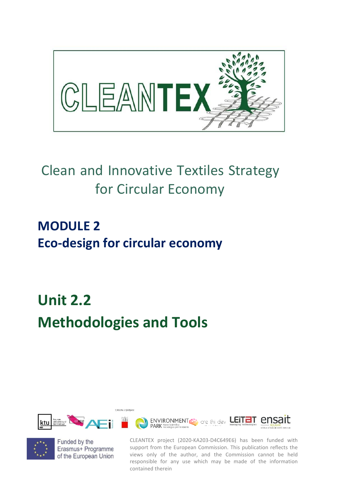

## Clean and Innovative Textiles Strategy for Circular Economy

## **MODULE 2 Eco-design for circular economy**

# **Unit 2.2 Methodologies and Tools**





Funded by the Erasmus+ Programme of the European Union

CLEANTEX project (2020-KA203-D4C649E6) has been funded with support from the European Commission. This publication reflects the views only of the author, and the Commission cannot be held responsible for any use which may be made of the information contained therein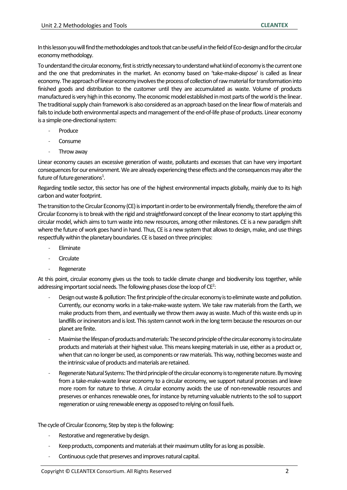In this lesson you will find the methodologies and tools that can be useful in the field of Eco-design and for the circular economy methodology.

To understand the circular economy, first is strictly necessary to understand what kind of economy is the current one and the one that predominates in the market. An economy based on 'take-make-dispose' is called as linear economy. The approach of linear economy involves the process of collection of raw material for transformation into finished goods and distribution to the customer until they are accumulated as waste. Volume of products manufactured is very high in this economy. The economic model established in most parts of the world is the linear. The traditional supply chain framework is also considered as an approach based on the linear flow of materials and fails to include both environmental aspects and management of the end-of-life phase of products. Linear economy is a simple one-directional system:

- **Produce**
- Consume
- Throw away

Linear economy causes an excessive generation of waste, pollutants and excesses that can have very important consequences for our environment. We are already experiencing these effects and the consequences may alter the future of future generations $^1$ .

Regarding textile sector, this sector has one of the highest environmental impacts globally, mainly due to its high carbon and water footprint.

The transition to the Circular Economy (CE) is important in order to be environmentally friendly, therefore the aim of Circular Economy is to break with the rigid and straightforward concept of the linear economy to start applying this circular model, which aims to turn waste into new resources, among other milestones. CE is a new paradigm shift where the future of work goes hand in hand. Thus, CE is a new system that allows to design, make, and use things respectfully within the planetary boundaries. CE is based on three principles:

- **Eliminate**
- **Circulate**
- **Regenerate**

At this point, circular economy gives us the tools to tackle climate change and biodiversity loss together, while addressing important social needs. The following phases close the loop of  $CE^2$ :

- Design out waste & pollution: The first principle of the circular economy is to eliminate waste and pollution. Currently, our economy works in a take-make-waste system. We take raw materials from the Earth, we make products from them, and eventually we throw them away as waste. Much of this waste ends up in landfills or incinerators and is lost. This system cannot work in the long term because the resources on our planet are finite.
- Maximise the lifespan of products and materials: The second principle of the circular economy is to circulate products and materials at their highest value. This means keeping materials in use, either as a product or, when that can no longer be used, as components or raw materials. This way, nothing becomes waste and the intrinsic value of products and materials are retained.
- Regenerate Natural Systems: The third principle of the circular economy is to regenerate nature. By moving from a take-make-waste linear economy to a circular economy, we support natural processes and leave more room for nature to thrive. A circular economy avoids the use of non-renewable resources and preserves or enhances renewable ones, for instance by returning valuable nutrients to the soil to support regeneration or using renewable energy as opposed to relying on fossil fuels.

#### The cycle of Circular Economy, Step by step is the following:

- Restorative and regenerative by design.
- Keep products, components and materials at their maximum utility for as long as possible.
- Continuous cycle that preserves and improves natural capital.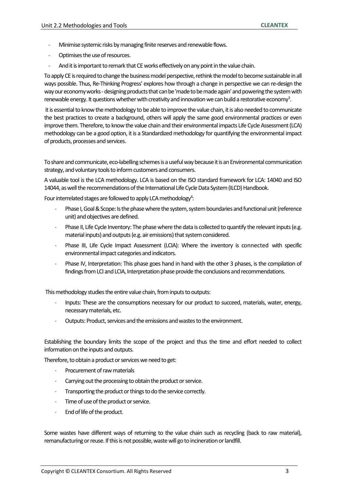- Minimise systemic risks by managing finite reserves and renewable flows.
- Optimises the use of resources.
- And it is important to remark that CE works effectively on any point in the value chain.

To apply CE is required to change the business model perspective, rethink the model to become sustainable in all ways possible. Thus, Re-Thinking Progress' explores how through a change in perspective we can re-design the way our economy works -designing products that can be 'made to be made again' and powering the system with renewable energy. It questions whether with creativity and innovation we can build a restorative economy<sup>3</sup>.

it is essential to know the methodology to be able to improve the value chain, it is also needed to communicate the best practices to create a background, others will apply the same good environmental practices or even improve them. Therefore, to know the value chain and their environmental impacts Life Cycle Assessment (LCA) methodology can be a good option, it is a Standardized methodology for quantifying the environmental impact of products, processes and services.

To share and communicate, eco-labelling schemes is a useful way because it is an Environmental communication strategy, and voluntary tools to inform customers and consumers.

A valuable tool is the LCA methodology. LCA is based on the ISO standard framework for LCA: 14040 and ISO 14044, as well the recommendations of the International Life Cycle Data System (ILCD) Handbook.

Four interrelated stages are followed to apply LCA methodology<sup>4</sup>:

- Phase I, Goal & Scope: Is the phase where the system, system boundaries and functional unit (reference unit) and objectives are defined.
- Phase II, Life Cycle Inventory: The phase where the data is collected to quantify the relevant inputs (e.g. material inputs) and outputs (e.g. air emissions) that system considered.
- Phase III, Life Cycle Impact Assessment (LCIA): Where the inventory is connected with specific environmental impact categories and indicators.
- Phase IV, Interpretation: This phase goes hand in hand with the other 3 phases, is the compilation of findings from LCI and LCIA, Interpretation phase provide the conclusions and recommendations.

This methodology studies the entire value chain, from inputs to outputs:

- Inputs: These are the consumptions necessary for our product to succeed, materials, water, energy, necessary materials, etc.
- Outputs: Product, services and the emissions and wastes to the environment.

Establishing the boundary limits the scope of the project and thus the time and effort needed to collect information on the inputs and outputs.

Therefore, to obtain a product or services we need to get:

- Procurement of raw materials
- Carrying out the processing to obtain the product or service.
- Transporting the product or things to do the service correctly.
- Time of use of the product or service.
- End of life of the product.

Some wastes have different ways of returning to the value chain such as recycling (back to raw material), remanufacturing or reuse. If this is not possible, waste will go to incineration or landfill.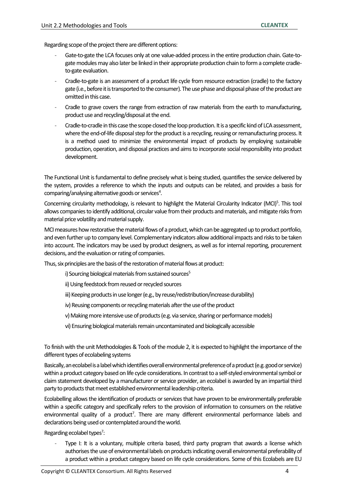Regarding scope of the project there are different options:

- Gate-to-gate the LCA focuses only at one value-added process in the entire production chain. Gate-togate modules may also later be linked in their appropriate production chain to form a complete cradleto-gate evaluation.
- Cradle-to-gate is an assessment of a product life cycle from resource extraction (cradle) to the factory gate (i.e., before it is transported to the consumer). The use phase and disposal phase of the product are omitted in this case.
- Cradle to grave covers the range from extraction of raw materials from the earth to manufacturing, product use and recycling/disposal at the end.
- Cradle-to-cradle in this case the scope closed the loop production. It is a specific kind of LCA assessment, where the end-of-life disposal step for the product is a recycling, reusing or remanufacturing process. It is a method used to minimize the environmental impact of products by employing sustainable production, operation, and disposal practices and aims to incorporate social responsibility into product development.

The Functional Unit is fundamental to define precisely what is being studied, quantifies the service delivered by the system, provides a reference to which the inputs and outputs can be related, and provides a basis for comparing/analysing alternative goods or services<sup>4</sup>.

Concerning circularity methodology, is relevant to highlight the Material Circularity Indicator (MCI)<sup>5</sup>. This tool allows companies to identify additional, circular value from their products and materials, and mitigate risks from material price volatility and material supply.

MCI measures how restorative the material flows of a product, which can be aggregated up to product portfolio, and even further up to company level. Complementary indicators allow additional impacts and risks to be taken into account. The indicators may be used by product designers, as well as for internal reporting, procurement decisions, and the evaluation or rating of companies.

Thus, six principles are the basis of the restoration of material flows at product:

- i) Sourcing biological materials from sustained sources<sup>5</sup>
- ii) Using feedstock from reused or recycled sources
- iii) Keeping products in use longer (e.g., by reuse/redistribution/increase durability)
- iv) Reusing components or recycling materials after the use of the product
- v) Making more intensive use of products (e.g. via service, sharing or performance models)
- vi) Ensuring biological materials remain uncontaminated and biologically accessible

To finish with the unit Methodologies & Tools of the module 2, it is expected to highlight the importance of the different types of ecolabeling systems

Basically, an ecolabel is a label which identifies overall environmental preference of a product (e.g. good or service) within a product category based on life cycle considerations. In contrast to a self-styled environmental symbol or claim statement developed by a manufacturer or service provider, an ecolabel is awarded by an impartial third party to products that meet established environmental leadership criteria.

Ecolabelling allows the identification of products or services that have proven to be environmentally preferable within a specific category and specifically refers to the provision of information to consumers on the relative environmental quality of a product<sup>7</sup>. There are many different environmental performance labels and declarations being used or contemplated around the world.

Regarding ecolabel types<sup>7</sup>:

Type I: It is a voluntary, multiple criteria based, third party program that awards a license which authorises the use of environmental labels on products indicating overall environmental preferability of a product within a product category based on life cycle considerations. Some of this Ecolabels are EU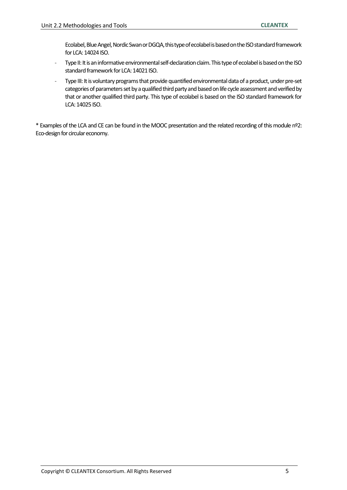Ecolabel, Blue Angel, Nordic Swan or DGQA, this type of ecolabel is based on the ISO standard framework for LCA: 14024 ISO.

- Type II: It is an informative environmental self-declaration claim. This type of ecolabel is based on the ISO standard framework for LCA: 14021 ISO.
- Type III: It is voluntary programs that provide quantified environmental data of a product, under pre-set categories of parameters set by a qualified third party and based on life cycle assessment and verified by that or another qualified third party. This type of ecolabel is based on the ISO standard framework for LCA: 14025 ISO.

\* Examples of the LCA and CE can be found in the MOOC presentation and the related recording of this module nº2: Eco-design for circular economy.